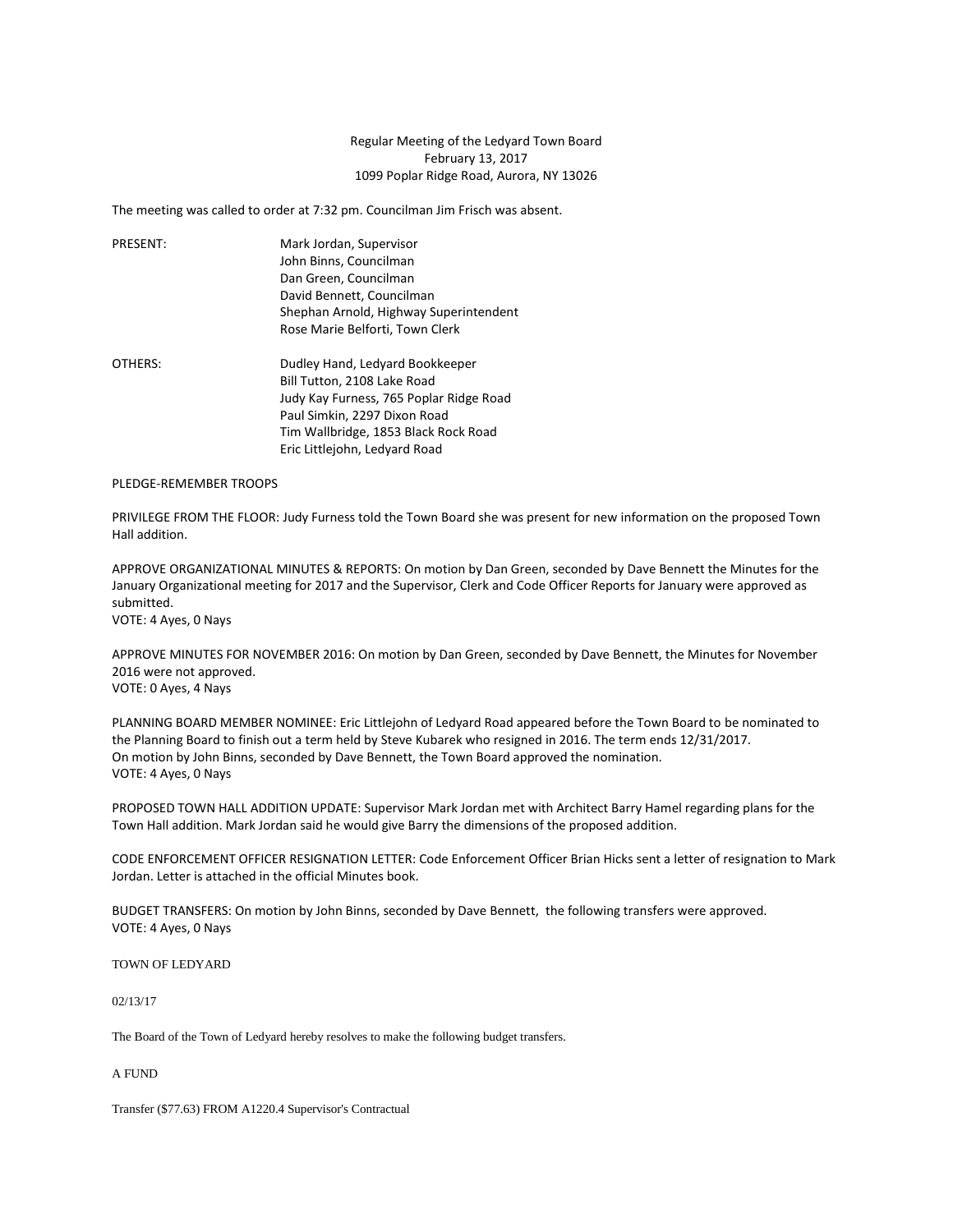## Regular Meeting of the Ledyard Town Board February 13, 2017 1099 Poplar Ridge Road, Aurora, NY 13026

The meeting was called to order at 7:32 pm. Councilman Jim Frisch was absent.

| PRESENT: | Mark Jordan, Supervisor                |
|----------|----------------------------------------|
|          | John Binns, Councilman                 |
|          | Dan Green, Councilman                  |
|          | David Bennett, Councilman              |
|          | Shephan Arnold, Highway Superintendent |
|          | Rose Marie Belforti, Town Clerk        |
| OTHERS:  | Dudley Hand, Ledyard Bookkeeper        |

Bill Tutton, 2108 Lake Road Judy Kay Furness, 765 Poplar Ridge Road Paul Simkin, 2297 Dixon Road Tim Wallbridge, 1853 Black Rock Road Eric Littlejohn, Ledyard Road

PLEDGE-REMEMBER TROOPS

PRIVILEGE FROM THE FLOOR: Judy Furness told the Town Board she was present for new information on the proposed Town Hall addition.

APPROVE ORGANIZATIONAL MINUTES & REPORTS: On motion by Dan Green, seconded by Dave Bennett the Minutes for the January Organizational meeting for 2017 and the Supervisor, Clerk and Code Officer Reports for January were approved as submitted.

VOTE: 4 Ayes, 0 Nays

APPROVE MINUTES FOR NOVEMBER 2016: On motion by Dan Green, seconded by Dave Bennett, the Minutes for November 2016 were not approved. VOTE: 0 Ayes, 4 Nays

PLANNING BOARD MEMBER NOMINEE: Eric Littlejohn of Ledyard Road appeared before the Town Board to be nominated to the Planning Board to finish out a term held by Steve Kubarek who resigned in 2016. The term ends 12/31/2017. On motion by John Binns, seconded by Dave Bennett, the Town Board approved the nomination. VOTE: 4 Ayes, 0 Nays

PROPOSED TOWN HALL ADDITION UPDATE: Supervisor Mark Jordan met with Architect Barry Hamel regarding plans for the Town Hall addition. Mark Jordan said he would give Barry the dimensions of the proposed addition.

CODE ENFORCEMENT OFFICER RESIGNATION LETTER: Code Enforcement Officer Brian Hicks sent a letter of resignation to Mark Jordan. Letter is attached in the official Minutes book.

BUDGET TRANSFERS: On motion by John Binns, seconded by Dave Bennett, the following transfers were approved. VOTE: 4 Ayes, 0 Nays

TOWN OF LEDYARD

02/13/17

The Board of the Town of Ledyard hereby resolves to make the following budget transfers.

A FUND

Transfer (\$77.63) FROM A1220.4 Supervisor's Contractual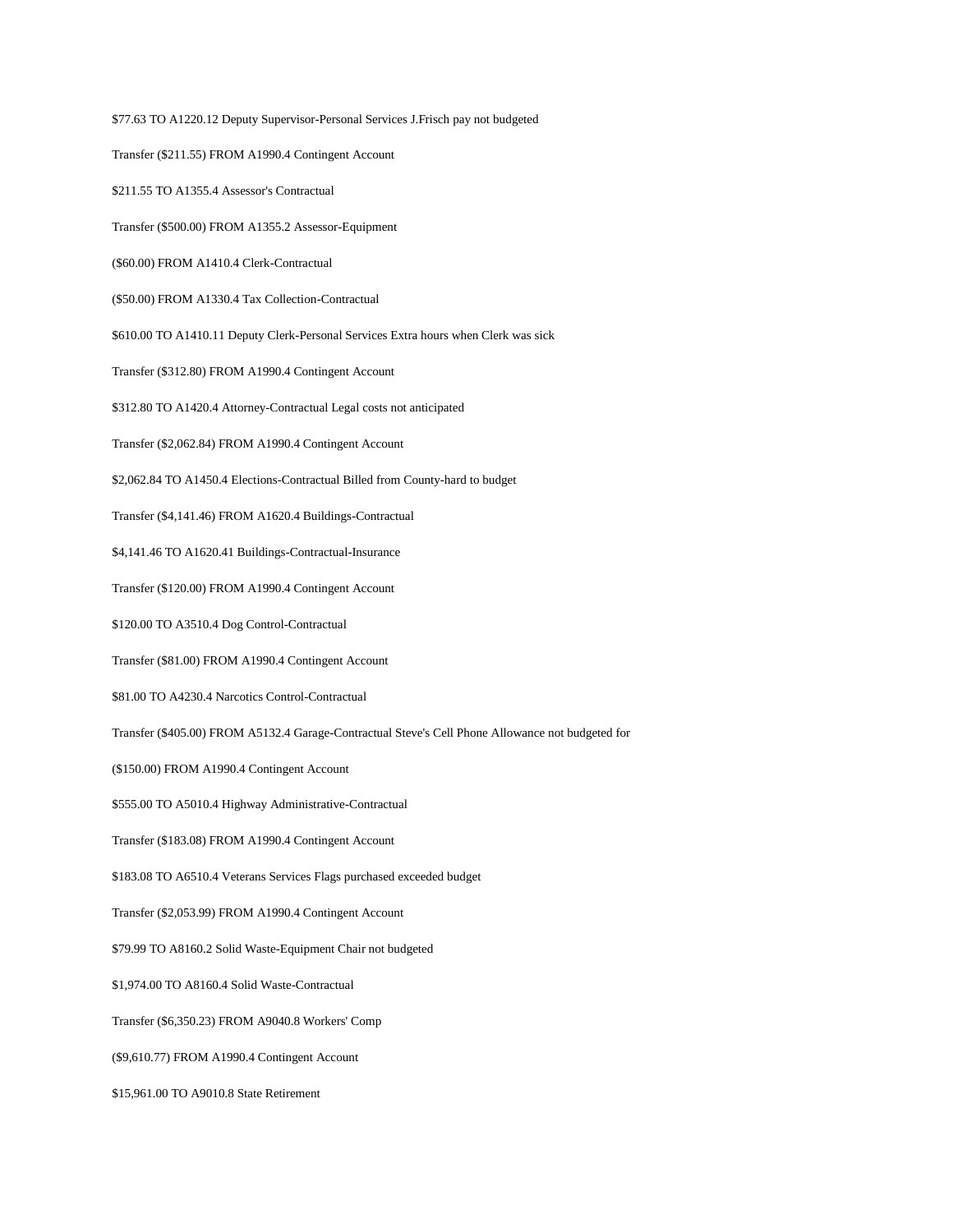\$77.63 TO A1220.12 Deputy Supervisor-Personal Services J.Frisch pay not budgeted Transfer (\$211.55) FROM A1990.4 Contingent Account \$211.55 TO A1355.4 Assessor's Contractual Transfer (\$500.00) FROM A1355.2 Assessor-Equipment (\$60.00) FROM A1410.4 Clerk-Contractual (\$50.00) FROM A1330.4 Tax Collection-Contractual \$610.00 TO A1410.11 Deputy Clerk-Personal Services Extra hours when Clerk was sick Transfer (\$312.80) FROM A1990.4 Contingent Account \$312.80 TO A1420.4 Attorney-Contractual Legal costs not anticipated Transfer (\$2,062.84) FROM A1990.4 Contingent Account \$2,062.84 TO A1450.4 Elections-Contractual Billed from County-hard to budget Transfer (\$4,141.46) FROM A1620.4 Buildings-Contractual \$4,141.46 TO A1620.41 Buildings-Contractual-Insurance Transfer (\$120.00) FROM A1990.4 Contingent Account \$120.00 TO A3510.4 Dog Control-Contractual Transfer (\$81.00) FROM A1990.4 Contingent Account \$81.00 TO A4230.4 Narcotics Control-Contractual Transfer (\$405.00) FROM A5132.4 Garage-Contractual Steve's Cell Phone Allowance not budgeted for (\$150.00) FROM A1990.4 Contingent Account \$555.00 TO A5010.4 Highway Administrative-Contractual Transfer (\$183.08) FROM A1990.4 Contingent Account \$183.08 TO A6510.4 Veterans Services Flags purchased exceeded budget Transfer (\$2,053.99) FROM A1990.4 Contingent Account \$79.99 TO A8160.2 Solid Waste-Equipment Chair not budgeted \$1,974.00 TO A8160.4 Solid Waste-Contractual Transfer (\$6,350.23) FROM A9040.8 Workers' Comp (\$9,610.77) FROM A1990.4 Contingent Account \$15,961.00 TO A9010.8 State Retirement